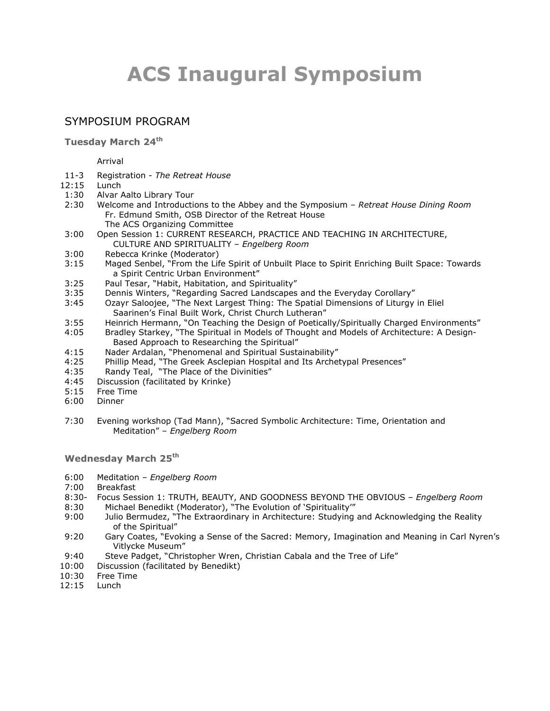# **ACS Inaugural Symposium**

## SYMPOSIUM PROGRAM

**Tuesday March 24th**

Arrival

- 11-3 Registration *The Retreat House*
- 12:15 Lunch
- 1:30 Alvar Aalto Library Tour
- 2:30 Welcome and Introductions to the Abbey and the Symposium *Retreat House Dining Room* Fr. Edmund Smith, OSB Director of the Retreat House The ACS Organizing Committee
- 3:00 Open Session 1: CURRENT RESEARCH, PRACTICE AND TEACHING IN ARCHITECTURE, CULTURE AND SPIRITUALITY – *Engelberg Room*
- 3:00 Rebecca Krinke (Moderator)
- 3:15 Maged Senbel, "From the Life Spirit of Unbuilt Place to Spirit Enriching Built Space: Towards a Spirit Centric Urban Environment"
- 3:25 Paul Tesar, "Habit, Habitation, and Spirituality"
- 3:35 Dennis Winters, "Regarding Sacred Landscapes and the Everyday Corollary"
- 3:45 Ozayr Saloojee, "The Next Largest Thing: The Spatial Dimensions of Liturgy in Eliel Saarinen's Final Built Work, Christ Church Lutheran"
- 3:55 Heinrich Hermann, "On Teaching the Design of Poetically/Spiritually Charged Environments"
- 4:05 Bradley Starkey, "The Spiritual in Models of Thought and Models of Architecture: A Design-Based Approach to Researching the Spiritual"
- 4:15 Nader Ardalan, "Phenomenal and Spiritual Sustainability"
- 4:25 Phillip Mead, "The Greek Asclepian Hospital and Its Archetypal Presences"
- 4:35 Randy Teal, "The Place of the Divinities"
- 4:45 Discussion (facilitated by Krinke)
- 5:15 Free Time
- 6:00 Dinner
- 7:30 Evening workshop (Tad Mann), "Sacred Symbolic Architecture: Time, Orientation and Meditation" – *Engelberg Room*

**Wednesday March 25th**

- 6:00 Meditation *Engelberg Room*
- 7:00 Breakfast
- 8:30- Focus Session 1: TRUTH, BEAUTY, AND GOODNESS BEYOND THE OBVIOUS *Engelberg Room*
- 8:30 Michael Benedikt (Moderator), "The Evolution of 'Spirituality'"
- 9:00 Julio Bermudez, "The Extraordinary in Architecture: Studying and Acknowledging the Reality of the Spiritual"
- 9:20 Gary Coates, "Evoking a Sense of the Sacred: Memory, Imagination and Meaning in Carl Nyren's Vitlycke Museum"
- 9:40 Steve Padget, "Christopher Wren, Christian Cabala and the Tree of Life"
- 10:00 Discussion (facilitated by Benedikt)
- 10:30 Free Time
- 12:15 Lunch